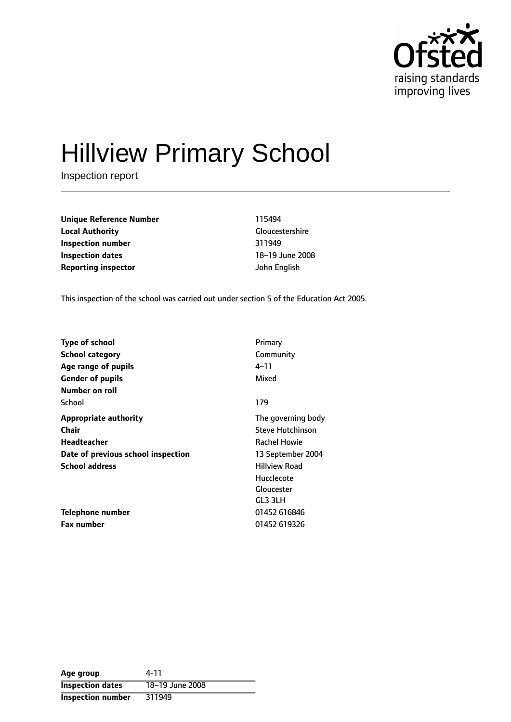

# Hillview Primary School

Inspection report

**Unique Reference Number** 115494 **Local Authority** Gloucestershire **Inspection number** 311949 **Inspection dates** 18-19 June 2008 **Reporting inspector** John English

This inspection of the school was carried out under section 5 of the Education Act 2005.

| <b>Type of school</b>              | Primary                 |
|------------------------------------|-------------------------|
| <b>School category</b>             | Community               |
| Age range of pupils                | 4–11                    |
| <b>Gender of pupils</b>            | Mixed                   |
| Number on roll                     |                         |
| School                             | 179                     |
| <b>Appropriate authority</b>       | The governing body      |
| <b>Chair</b>                       | <b>Steve Hutchinson</b> |
| Headteacher                        | <b>Rachel Howie</b>     |
| Date of previous school inspection | 13 September 2004       |
| <b>School address</b>              | <b>Hillview Road</b>    |
|                                    | Hucclecote              |
|                                    | Gloucester              |
|                                    | GL3 3LH                 |
| Telephone number                   | 01452 616846            |
| <b>Fax number</b>                  | 01452 619326            |

| Age group                | 4-11            |
|--------------------------|-----------------|
| <b>Inspection dates</b>  | 18-19 June 2008 |
| <b>Inspection number</b> | 311949          |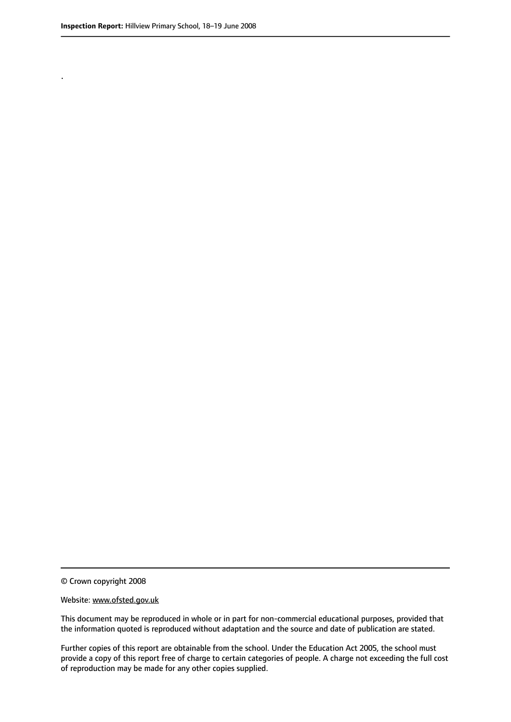.

© Crown copyright 2008

#### Website: www.ofsted.gov.uk

This document may be reproduced in whole or in part for non-commercial educational purposes, provided that the information quoted is reproduced without adaptation and the source and date of publication are stated.

Further copies of this report are obtainable from the school. Under the Education Act 2005, the school must provide a copy of this report free of charge to certain categories of people. A charge not exceeding the full cost of reproduction may be made for any other copies supplied.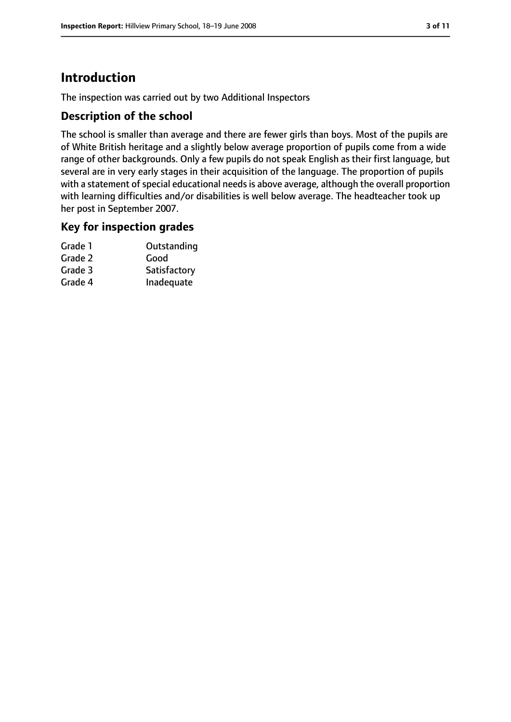# **Introduction**

The inspection was carried out by two Additional Inspectors

#### **Description of the school**

The school is smaller than average and there are fewer girls than boys. Most of the pupils are of White British heritage and a slightly below average proportion of pupils come from a wide range of other backgrounds. Only a few pupils do not speak English as their first language, but several are in very early stages in their acquisition of the language. The proportion of pupils with a statement of special educational needs is above average, although the overall proportion with learning difficulties and/or disabilities is well below average. The headteacher took up her post in September 2007.

#### **Key for inspection grades**

| Outstanding  |
|--------------|
| Good         |
| Satisfactory |
| Inadequate   |
|              |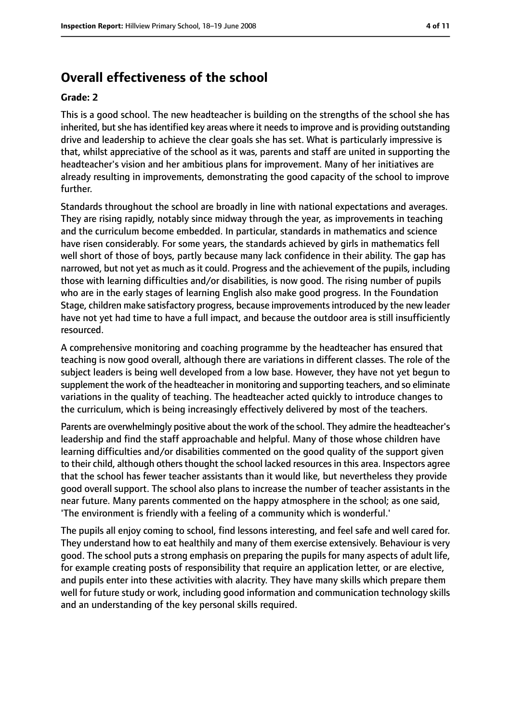## **Overall effectiveness of the school**

#### **Grade: 2**

This is a good school. The new headteacher is building on the strengths of the school she has inherited, but she has identified key areas where it needs to improve and is providing outstanding drive and leadership to achieve the clear goals she has set. What is particularly impressive is that, whilst appreciative of the school as it was, parents and staff are united in supporting the headteacher's vision and her ambitious plans for improvement. Many of her initiatives are already resulting in improvements, demonstrating the good capacity of the school to improve further.

Standards throughout the school are broadly in line with national expectations and averages. They are rising rapidly, notably since midway through the year, as improvements in teaching and the curriculum become embedded. In particular, standards in mathematics and science have risen considerably. For some years, the standards achieved by girls in mathematics fell well short of those of boys, partly because many lack confidence in their ability. The gap has narrowed, but not yet as much as it could. Progress and the achievement of the pupils, including those with learning difficulties and/or disabilities, is now good. The rising number of pupils who are in the early stages of learning English also make good progress. In the Foundation Stage, children make satisfactory progress, because improvementsintroduced by the new leader have not yet had time to have a full impact, and because the outdoor area is still insufficiently resourced.

A comprehensive monitoring and coaching programme by the headteacher has ensured that teaching is now good overall, although there are variations in different classes. The role of the subject leaders is being well developed from a low base. However, they have not yet begun to supplement the work of the headteacher in monitoring and supporting teachers, and so eliminate variations in the quality of teaching. The headteacher acted quickly to introduce changes to the curriculum, which is being increasingly effectively delivered by most of the teachers.

Parents are overwhelmingly positive about the work of the school. They admire the headteacher's leadership and find the staff approachable and helpful. Many of those whose children have learning difficulties and/or disabilities commented on the good quality of the support given to their child, although others thought the school lacked resources in this area. Inspectors agree that the school has fewer teacher assistants than it would like, but nevertheless they provide good overall support. The school also plans to increase the number of teacher assistants in the near future. Many parents commented on the happy atmosphere in the school; as one said, 'The environment is friendly with a feeling of a community which is wonderful.'

The pupils all enjoy coming to school, find lessons interesting, and feel safe and well cared for. They understand how to eat healthily and many of them exercise extensively. Behaviour is very good. The school puts a strong emphasis on preparing the pupils for many aspects of adult life, for example creating posts of responsibility that require an application letter, or are elective, and pupils enter into these activities with alacrity. They have many skills which prepare them well for future study or work, including good information and communication technology skills and an understanding of the key personal skills required.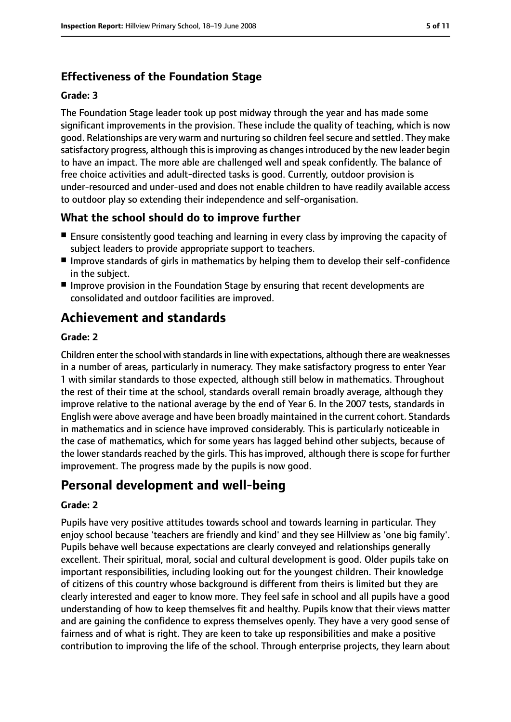## **Effectiveness of the Foundation Stage**

#### **Grade: 3**

The Foundation Stage leader took up post midway through the year and has made some significant improvements in the provision. These include the quality of teaching, which is now good. Relationships are very warm and nurturing so children feel secure and settled. They make satisfactory progress, although this is improving as changes introduced by the new leader begin to have an impact. The more able are challenged well and speak confidently. The balance of free choice activities and adult-directed tasks is good. Currently, outdoor provision is under-resourced and under-used and does not enable children to have readily available access to outdoor play so extending their independence and self-organisation.

### **What the school should do to improve further**

- Ensure consistently good teaching and learning in every class by improving the capacity of subject leaders to provide appropriate support to teachers.
- Improve standards of girls in mathematics by helping them to develop their self-confidence in the subject.
- Improve provision in the Foundation Stage by ensuring that recent developments are consolidated and outdoor facilities are improved.

## **Achievement and standards**

#### **Grade: 2**

Children enter the school with standardsin line with expectations, although there are weaknesses in a number of areas, particularly in numeracy. They make satisfactory progress to enter Year 1 with similar standards to those expected, although still below in mathematics. Throughout the rest of their time at the school, standards overall remain broadly average, although they improve relative to the national average by the end of Year 6. In the 2007 tests, standards in English were above average and have been broadly maintained in the current cohort. Standards in mathematics and in science have improved considerably. This is particularly noticeable in the case of mathematics, which for some years has lagged behind other subjects, because of the lower standards reached by the girls. This has improved, although there is scope for further improvement. The progress made by the pupils is now good.

## **Personal development and well-being**

#### **Grade: 2**

Pupils have very positive attitudes towards school and towards learning in particular. They enjoy school because 'teachers are friendly and kind' and they see Hillview as 'one big family'. Pupils behave well because expectations are clearly conveyed and relationships generally excellent. Their spiritual, moral, social and cultural development is good. Older pupils take on important responsibilities, including looking out for the youngest children. Their knowledge of citizens of this country whose background is different from theirs is limited but they are clearly interested and eager to know more. They feel safe in school and all pupils have a good understanding of how to keep themselves fit and healthy. Pupils know that their views matter and are gaining the confidence to express themselves openly. They have a very good sense of fairness and of what is right. They are keen to take up responsibilities and make a positive contribution to improving the life of the school. Through enterprise projects, they learn about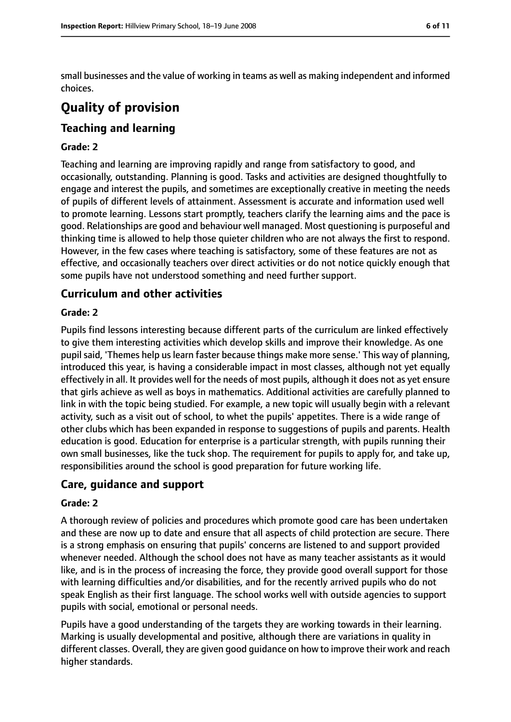small businesses and the value of working in teams as well as making independent and informed choices.

# **Quality of provision**

## **Teaching and learning**

#### **Grade: 2**

Teaching and learning are improving rapidly and range from satisfactory to good, and occasionally, outstanding. Planning is good. Tasks and activities are designed thoughtfully to engage and interest the pupils, and sometimes are exceptionally creative in meeting the needs of pupils of different levels of attainment. Assessment is accurate and information used well to promote learning. Lessons start promptly, teachers clarify the learning aims and the pace is good. Relationships are good and behaviour well managed. Most questioning is purposeful and thinking time is allowed to help those quieter children who are not always the first to respond. However, in the few cases where teaching is satisfactory, some of these features are not as effective, and occasionally teachers over direct activities or do not notice quickly enough that some pupils have not understood something and need further support.

## **Curriculum and other activities**

#### **Grade: 2**

Pupils find lessons interesting because different parts of the curriculum are linked effectively to give them interesting activities which develop skills and improve their knowledge. As one pupil said, 'Themes help us learn faster because things make more sense.' This way of planning, introduced this year, is having a considerable impact in most classes, although not yet equally effectively in all. It provides well for the needs of most pupils, although it does not as yet ensure that girls achieve as well as boys in mathematics. Additional activities are carefully planned to link in with the topic being studied. For example, a new topic will usually begin with a relevant activity, such as a visit out of school, to whet the pupils' appetites. There is a wide range of other clubs which has been expanded in response to suggestions of pupils and parents. Health education is good. Education for enterprise is a particular strength, with pupils running their own small businesses, like the tuck shop. The requirement for pupils to apply for, and take up, responsibilities around the school is good preparation for future working life.

#### **Care, guidance and support**

#### **Grade: 2**

A thorough review of policies and procedures which promote good care has been undertaken and these are now up to date and ensure that all aspects of child protection are secure. There is a strong emphasis on ensuring that pupils' concerns are listened to and support provided whenever needed. Although the school does not have as many teacher assistants as it would like, and is in the process of increasing the force, they provide good overall support for those with learning difficulties and/or disabilities, and for the recently arrived pupils who do not speak English as their first language. The school works well with outside agencies to support pupils with social, emotional or personal needs.

Pupils have a good understanding of the targets they are working towards in their learning. Marking is usually developmental and positive, although there are variations in quality in different classes. Overall, they are given good guidance on how to improve their work and reach higher standards.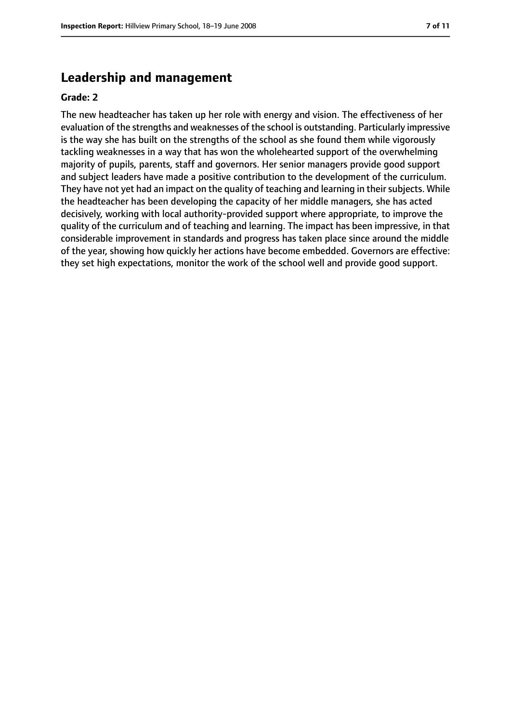### **Leadership and management**

#### **Grade: 2**

The new headteacher has taken up her role with energy and vision. The effectiveness of her evaluation of the strengths and weaknesses of the school is outstanding. Particularly impressive is the way she has built on the strengths of the school as she found them while vigorously tackling weaknesses in a way that has won the wholehearted support of the overwhelming majority of pupils, parents, staff and governors. Her senior managers provide good support and subject leaders have made a positive contribution to the development of the curriculum. They have not yet had an impact on the quality of teaching and learning in their subjects. While the headteacher has been developing the capacity of her middle managers, she has acted decisively, working with local authority-provided support where appropriate, to improve the quality of the curriculum and of teaching and learning. The impact has been impressive, in that considerable improvement in standards and progress has taken place since around the middle of the year, showing how quickly her actions have become embedded. Governors are effective: they set high expectations, monitor the work of the school well and provide good support.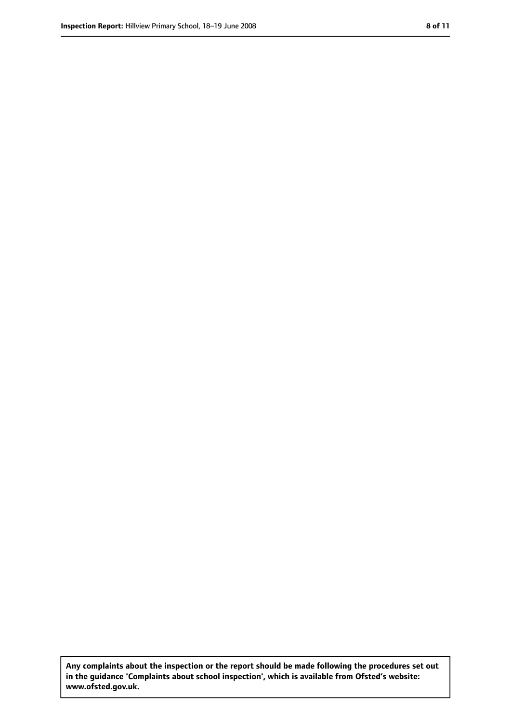**Any complaints about the inspection or the report should be made following the procedures set out in the guidance 'Complaints about school inspection', which is available from Ofsted's website: www.ofsted.gov.uk.**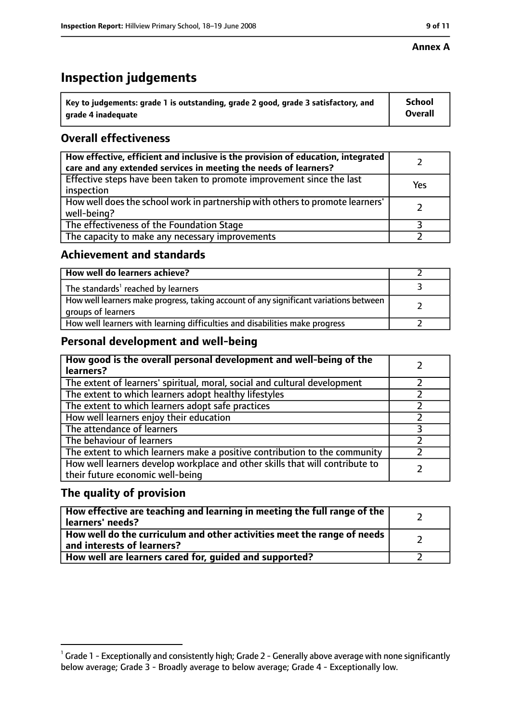#### **Annex A**

# **Inspection judgements**

| $^{\backprime}$ Key to judgements: grade 1 is outstanding, grade 2 good, grade 3 satisfactory, and | <b>School</b>  |
|----------------------------------------------------------------------------------------------------|----------------|
| arade 4 inadequate                                                                                 | <b>Overall</b> |

## **Overall effectiveness**

| How effective, efficient and inclusive is the provision of education, integrated<br>care and any extended services in meeting the needs of learners? |     |
|------------------------------------------------------------------------------------------------------------------------------------------------------|-----|
| Effective steps have been taken to promote improvement since the last<br>inspection                                                                  | Yes |
| How well does the school work in partnership with others to promote learners'<br>well-being?                                                         |     |
| The effectiveness of the Foundation Stage                                                                                                            |     |
| The capacity to make any necessary improvements                                                                                                      |     |

#### **Achievement and standards**

| How well do learners achieve?                                                                               |  |
|-------------------------------------------------------------------------------------------------------------|--|
| The standards <sup>1</sup> reached by learners                                                              |  |
| How well learners make progress, taking account of any significant variations between<br>groups of learners |  |
| How well learners with learning difficulties and disabilities make progress                                 |  |

#### **Personal development and well-being**

| How good is the overall personal development and well-being of the<br>learners?                                  |  |
|------------------------------------------------------------------------------------------------------------------|--|
| The extent of learners' spiritual, moral, social and cultural development                                        |  |
| The extent to which learners adopt healthy lifestyles                                                            |  |
| The extent to which learners adopt safe practices                                                                |  |
| How well learners enjoy their education                                                                          |  |
| The attendance of learners                                                                                       |  |
| The behaviour of learners                                                                                        |  |
| The extent to which learners make a positive contribution to the community                                       |  |
| How well learners develop workplace and other skills that will contribute to<br>their future economic well-being |  |

#### **The quality of provision**

| How effective are teaching and learning in meeting the full range of the<br>learners' needs?          |  |
|-------------------------------------------------------------------------------------------------------|--|
| How well do the curriculum and other activities meet the range of needs<br>and interests of learners? |  |
| How well are learners cared for, quided and supported?                                                |  |

 $^1$  Grade 1 - Exceptionally and consistently high; Grade 2 - Generally above average with none significantly below average; Grade 3 - Broadly average to below average; Grade 4 - Exceptionally low.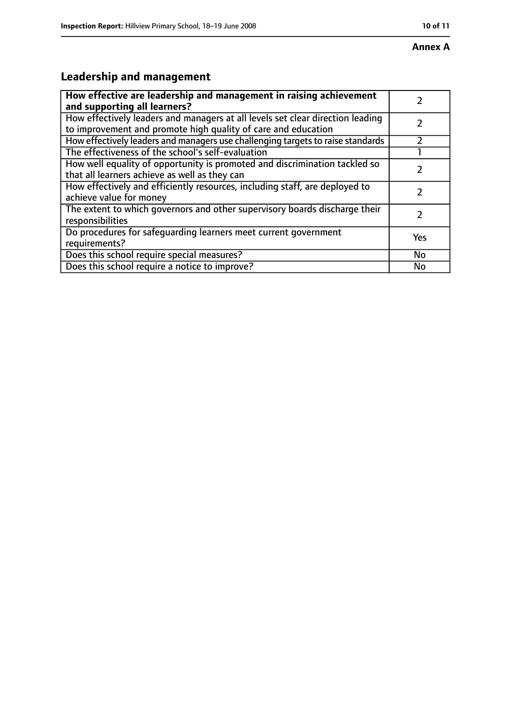# **Annex A**

# **Leadership and management**

| How effective are leadership and management in raising achievement              |     |
|---------------------------------------------------------------------------------|-----|
| and supporting all learners?                                                    |     |
| How effectively leaders and managers at all levels set clear direction leading  |     |
| to improvement and promote high quality of care and education                   |     |
| How effectively leaders and managers use challenging targets to raise standards |     |
| The effectiveness of the school's self-evaluation                               |     |
| How well equality of opportunity is promoted and discrimination tackled so      |     |
| that all learners achieve as well as they can                                   |     |
| How effectively and efficiently resources, including staff, are deployed to     | 7   |
| achieve value for money                                                         |     |
| The extent to which governors and other supervisory boards discharge their      |     |
| responsibilities                                                                |     |
| Do procedures for safequarding learners meet current government                 | Yes |
| requirements?                                                                   |     |
| Does this school require special measures?                                      | No  |
| Does this school require a notice to improve?                                   | No  |